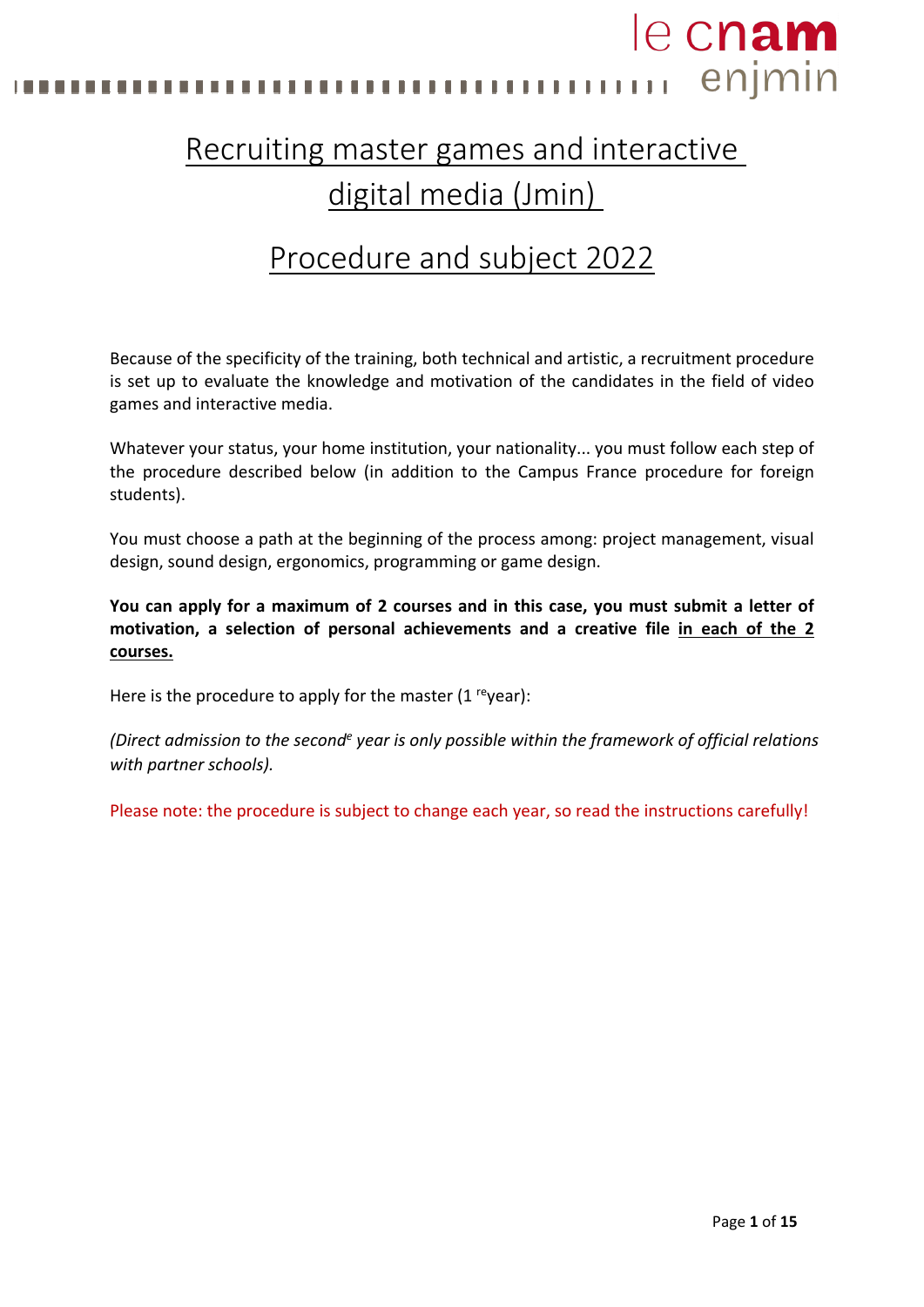

# Recruiting master games and interactive digital media (Jmin)

# Procedure and subject 2022

Because of the specificity of the training, both technical and artistic, a recruitment procedure is set up to evaluate the knowledge and motivation of the candidates in the field of video games and interactive media.

Whatever your status, your home institution, your nationality... you must follow each step of the procedure described below (in addition to the Campus France procedure for foreign students).

You must choose a path at the beginning of the process among: project management, visual design, sound design, ergonomics, programming or game design.

**You can apply for a maximum of 2 courses and in this case, you must submit a letter of motivation, a selection of personal achievements and a creative file in each of the 2 courses.**

Here is the procedure to apply for the master  $(1 \text{ [eq]} x)$ :

*(Direct admission to the seconde year is only possible within the framework of official relations with partner schools).* 

Please note: the procedure is subject to change each year, so read the instructions carefully!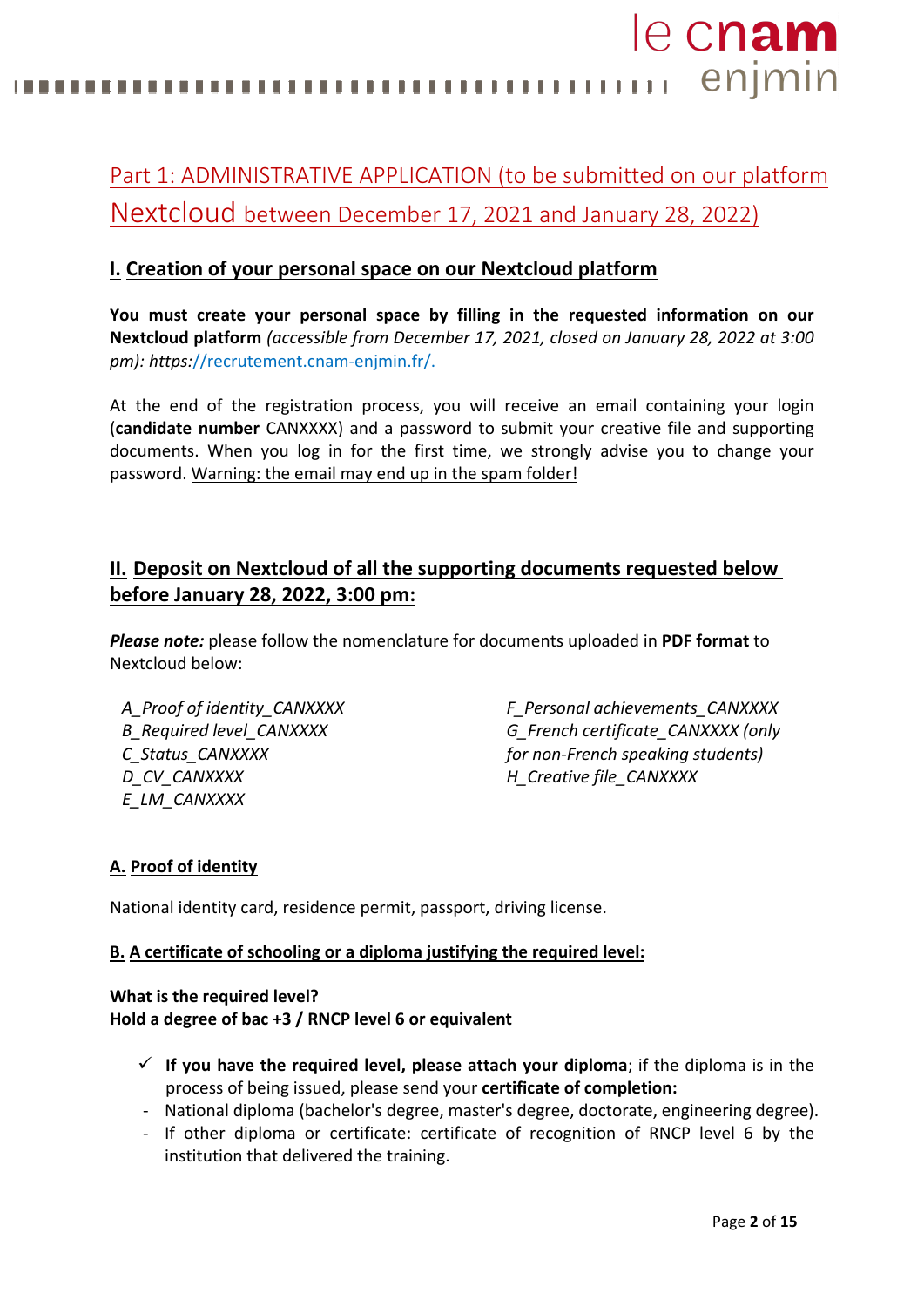le cnam **11** enjmin 

# Part 1: ADMINISTRATIVE APPLICATION (to be submitted on our platform Nextcloud between December 17, 2021 and January 28, 2022)

## **I. Creation of your personal space on our Nextcloud platform**

**You must create your personal space by filling in the requested information on our Nextcloud platform** *(accessible from December 17, 2021, closed on January 28, 2022 at 3:00 pm): https:*//recrutement.cnam-enjmin.fr/.

At the end of the registration process, you will receive an email containing your login (**candidate number** CANXXXX) and a password to submit your creative file and supporting documents. When you log in for the first time, we strongly advise you to change your password. Warning: the email may end up in the spam folder!

## **II. Deposit on Nextcloud of all the supporting documents requested below before January 28, 2022, 3:00 pm:**

*Please note:* please follow the nomenclature for documents uploaded in **PDF format** to Nextcloud below:

*A\_Proof of identity\_CANXXXX B\_Required level\_CANXXXX C\_Status\_CANXXXX D\_CV\_CANXXXX E\_LM\_CANXXXX*

*F\_Personal achievements\_CANXXXX G\_French certificate\_CANXXXX (only for non-French speaking students) H\_Creative file\_CANXXXX*

### **A. Proof of identity**

National identity card, residence permit, passport, driving license.

### **B. A certificate of schooling or a diploma justifying the required level:**

**What is the required level? Hold a degree of bac +3 / RNCP level 6 or equivalent**

- $\checkmark$  If you have the required level, please attach your diploma; if the diploma is in the process of being issued, please send your **certificate of completion:**
- National diploma (bachelor's degree, master's degree, doctorate, engineering degree).
- If other diploma or certificate: certificate of recognition of RNCP level 6 by the institution that delivered the training.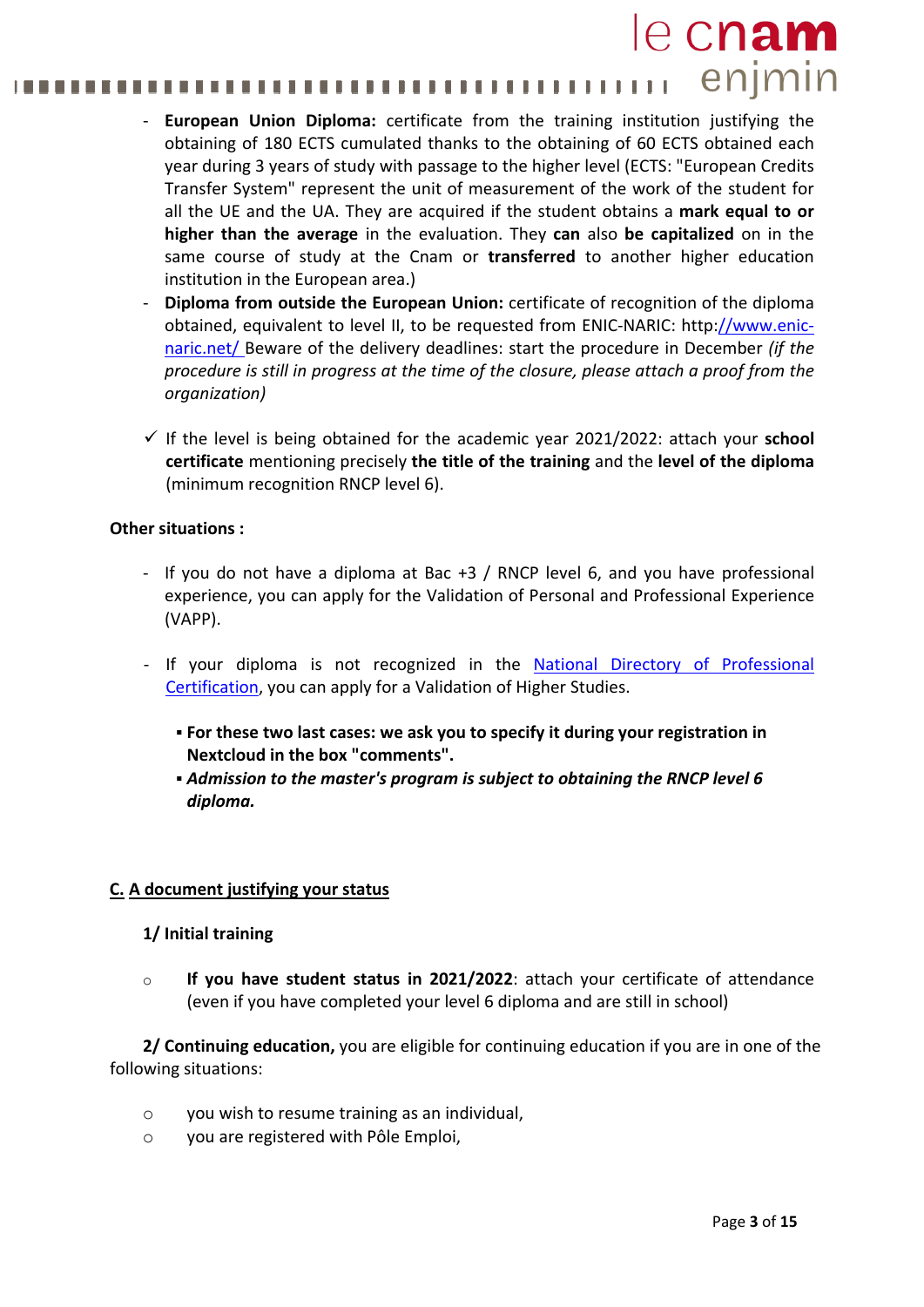### le cnam enjmin . . . . . . . . . . . . . . . . . . . . ...............

- **European Union Diploma:** certificate from the training institution justifying the obtaining of 180 ECTS cumulated thanks to the obtaining of 60 ECTS obtained each year during 3 years of study with passage to the higher level (ECTS: "European Credits Transfer System" represent the unit of measurement of the work of the student for all the UE and the UA. They are acquired if the student obtains a **mark equal to or higher than the average** in the evaluation. They **can** also **be capitalized** on in the same course of study at the Cnam or **transferred** to another higher education institution in the European area.)
- **Diploma from outside the European Union:** certificate of recognition of the diploma obtained, equivalent to level II, to be requested from ENIC-NARIC: http[://www.enic](http://www.enic-naric.net/)[naric.net/ B](http://www.enic-naric.net/)eware of the delivery deadlines: start the procedure in December *(if the procedure is still in progress at the time of the closure, please attach a proof from the organization)*
- $\checkmark$  If the level is being obtained for the academic year 2021/2022: attach your **school certificate** mentioning precisely **the title of the training** and the **level of the diploma**  (minimum recognition RNCP level 6).

### **Other situations :**

- If you do not have a diploma at Bac +3 / RNCP level 6, and you have professional experience, you can apply for the Validation of Personal and Professional Experience (VAPP).
- If your diploma is not recognized in the National [Directory o](http://www.rncp.cncp.gouv.fr/)f Professional Certification, you can apply for a Validation of Higher Studies.
	- **For these two last cases: we ask you to specify it during your registration in Nextcloud in the box "comments".**
	- *Admission to the master's program is subject to obtaining the RNCP level 6 diploma.*

### **C. A document justifying your status**

### **1/ Initial training**

o **If you have student status in 2021/2022**: attach your certificate of attendance (even if you have completed your level 6 diploma and are still in school)

**2/ Continuing education,** you are eligible for continuing education if you are in one of the following situations:

- o you wish to resume training as an individual,
- o you are registered with Pôle Emploi,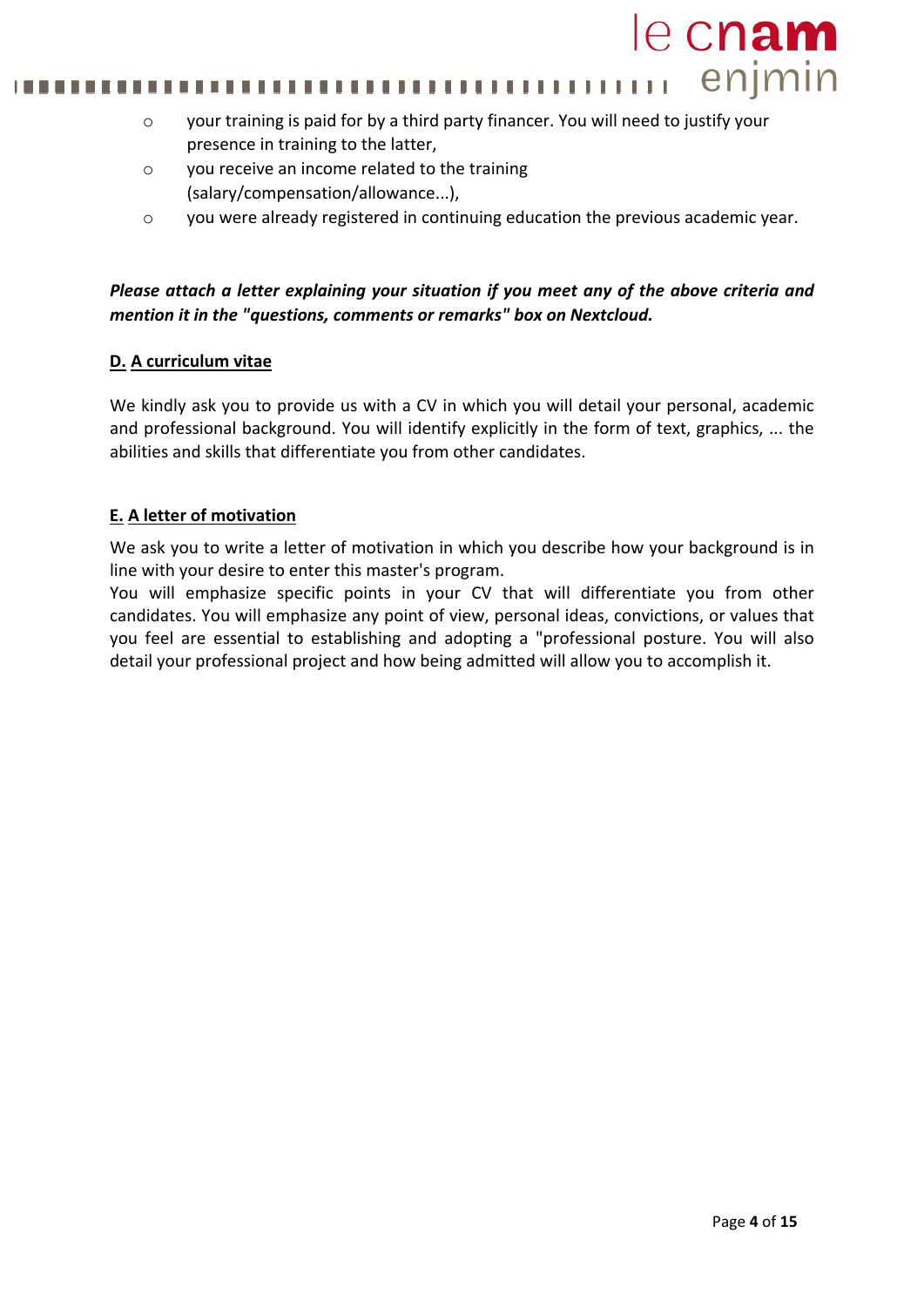#### enjmin 111111 ......... . . .

- o your training is paid for by a third party financer. You will need to justify your presence in training to the latter,
- o you receive an income related to the training (salary/compensation/allowance...),
- o you were already registered in continuing education the previous academic year.

### *Please attach a letter explaining your situation if you meet any of the above criteria and mention it in the "questions, comments or remarks" box on Nextcloud.*

### **D. A curriculum vitae**

We kindly ask you to provide us with a CV in which you will detail your personal, academic and professional background. You will identify explicitly in the form of text, graphics, ... the abilities and skills that differentiate you from other candidates.

### **E. A letter of motivation**

We ask you to write a letter of motivation in which you describe how your background is in line with your desire to enter this master's program.

You will emphasize specific points in your CV that will differentiate you from other candidates. You will emphasize any point of view, personal ideas, convictions, or values that you feel are essential to establishing and adopting a "professional posture. You will also detail your professional project and how being admitted will allow you to accomplish it.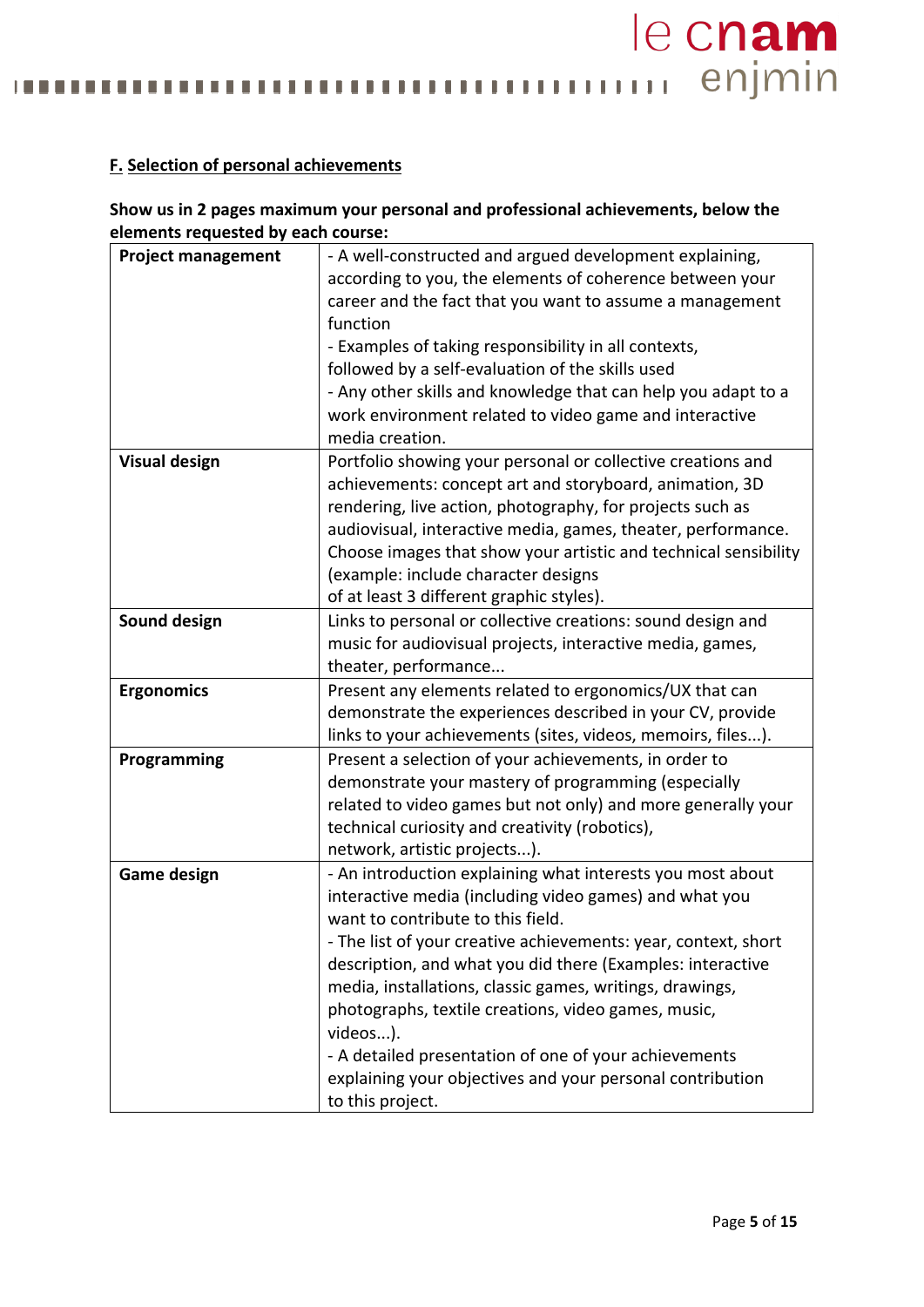mummmmmmmmmmmmmm ............. n n

### **F. Selection of personal achievements**

Ш

### **Show us in 2 pages maximum your personal and professional achievements, below the elements requested by each course:**

| <b>Project management</b> | - A well-constructed and argued development explaining,         |  |
|---------------------------|-----------------------------------------------------------------|--|
|                           | according to you, the elements of coherence between your        |  |
|                           | career and the fact that you want to assume a management        |  |
|                           | function                                                        |  |
|                           | - Examples of taking responsibility in all contexts,            |  |
|                           | followed by a self-evaluation of the skills used                |  |
|                           | - Any other skills and knowledge that can help you adapt to a   |  |
|                           | work environment related to video game and interactive          |  |
|                           | media creation.                                                 |  |
| <b>Visual design</b>      | Portfolio showing your personal or collective creations and     |  |
|                           | achievements: concept art and storyboard, animation, 3D         |  |
|                           | rendering, live action, photography, for projects such as       |  |
|                           | audiovisual, interactive media, games, theater, performance.    |  |
|                           | Choose images that show your artistic and technical sensibility |  |
|                           | (example: include character designs                             |  |
|                           | of at least 3 different graphic styles).                        |  |
| <b>Sound design</b>       | Links to personal or collective creations: sound design and     |  |
|                           | music for audiovisual projects, interactive media, games,       |  |
|                           | theater, performance                                            |  |
| <b>Ergonomics</b>         | Present any elements related to ergonomics/UX that can          |  |
|                           | demonstrate the experiences described in your CV, provide       |  |
|                           | links to your achievements (sites, videos, memoirs, files).     |  |
| Programming               | Present a selection of your achievements, in order to           |  |
|                           | demonstrate your mastery of programming (especially             |  |
|                           | related to video games but not only) and more generally your    |  |
|                           | technical curiosity and creativity (robotics),                  |  |
|                           | network, artistic projects).                                    |  |
| <b>Game design</b>        | - An introduction explaining what interests you most about      |  |
|                           | interactive media (including video games) and what you          |  |
|                           | want to contribute to this field.                               |  |
|                           | - The list of your creative achievements: year, context, short  |  |
|                           | description, and what you did there (Examples: interactive      |  |
|                           | media, installations, classic games, writings, drawings,        |  |
|                           | photographs, textile creations, video games, music,             |  |
|                           | videos).                                                        |  |
|                           | - A detailed presentation of one of your achievements           |  |
|                           | explaining your objectives and your personal contribution       |  |
|                           | to this project.                                                |  |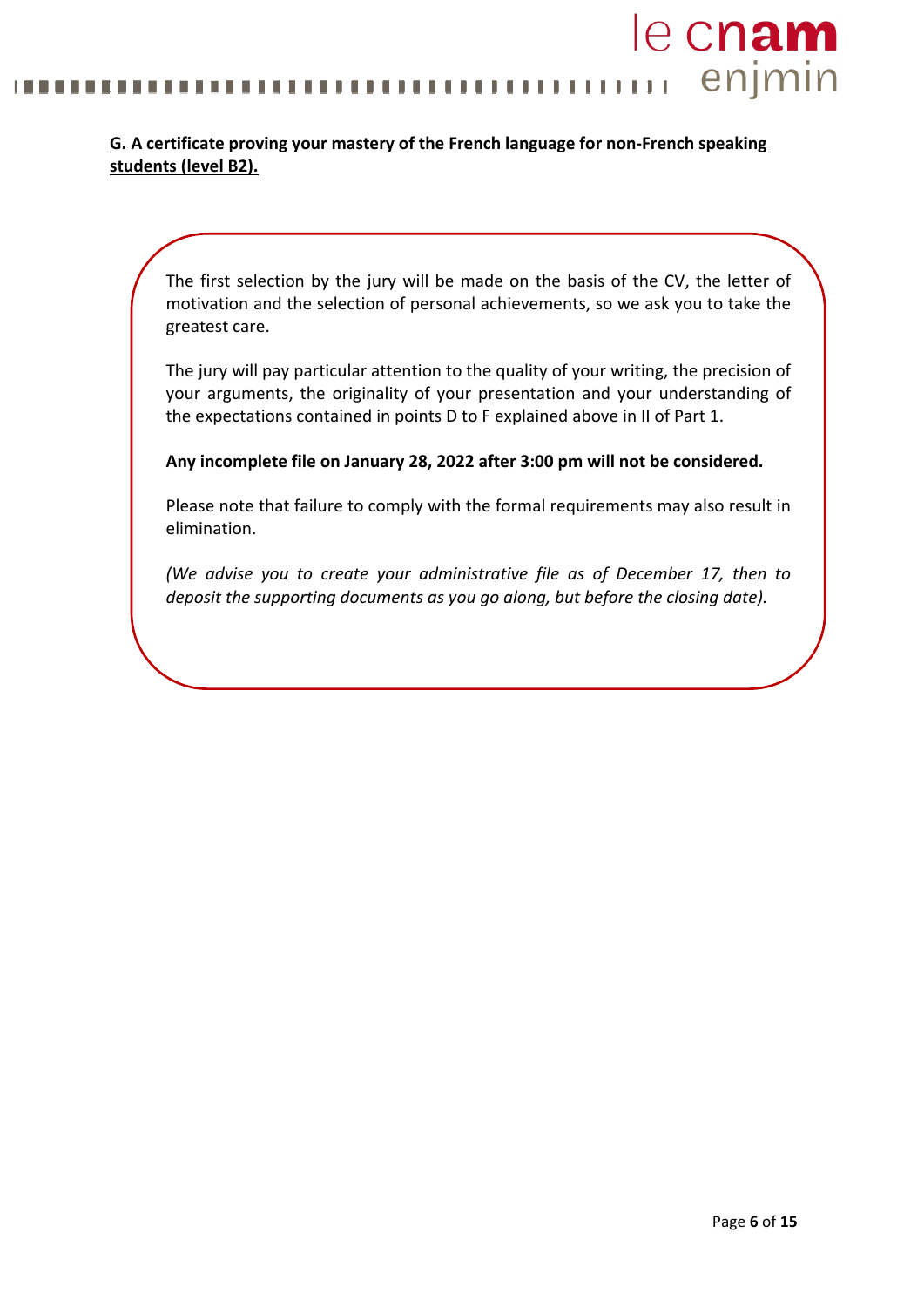### le cnam enjmin ........ ш

### **G. A certificate proving your mastery of the French language for non-French speaking students (level B2).**

The first selection by the jury will be made on the basis of the CV, the letter of motivation and the selection of personal achievements, so we ask you to take the greatest care.

The jury will pay particular attention to the quality of your writing, the precision of your arguments, the originality of your presentation and your understanding of the expectations contained in points D to F explained above in II of Part 1.

**Any incomplete file on January 28, 2022 after 3:00 pm will not be considered.**

Please note that failure to comply with the formal requirements may also result in elimination.

*(We advise you to create your administrative file as of December 17, then to deposit the supporting documents as you go along, but before the closing date).*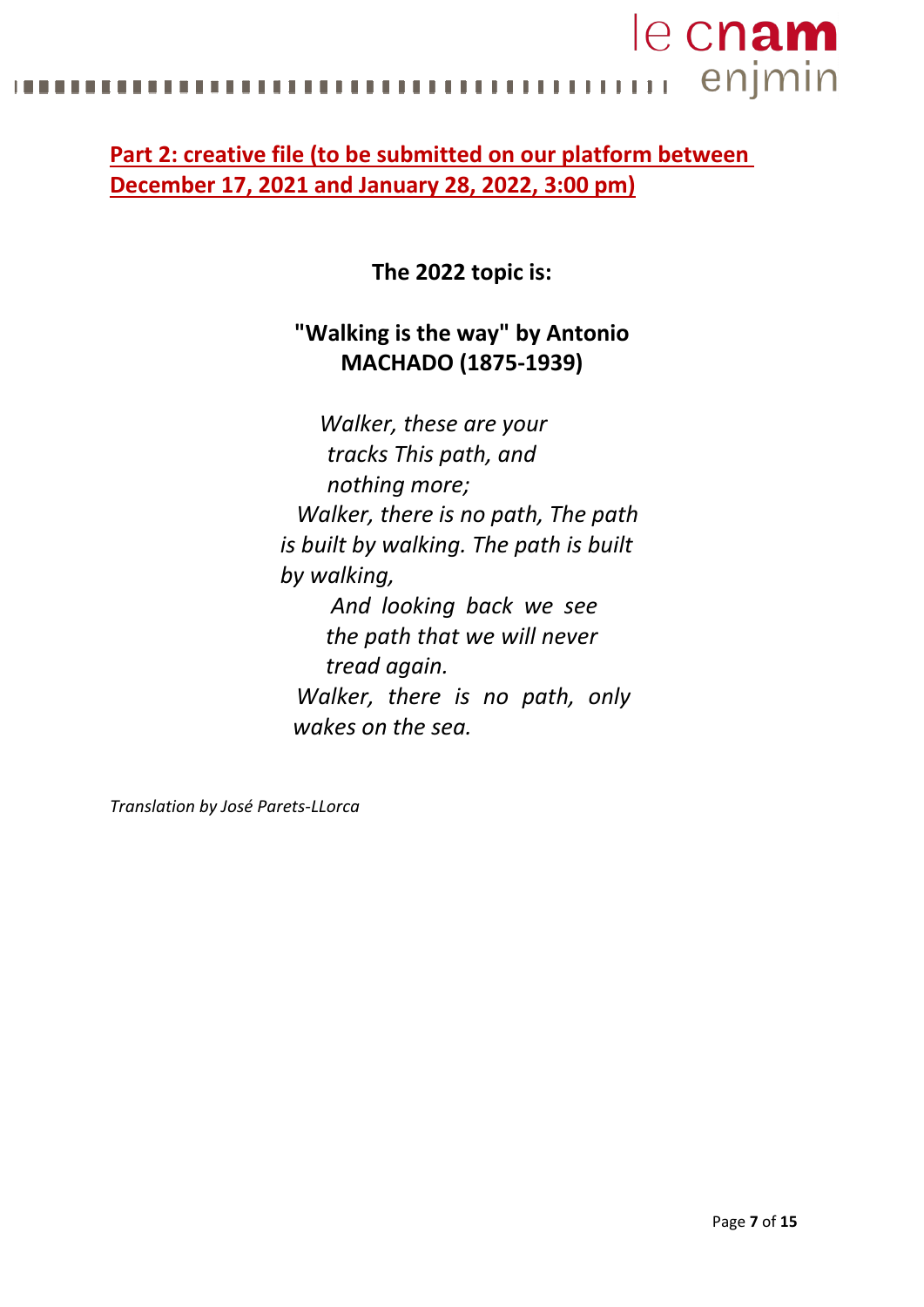# le cnam enjmin . . . . . . . . . . . . .

# **Part 2: creative file (to be submitted on our platform between December 17, 2021 and January 28, 2022, 3:00 pm)**

**The 2022 topic is:**

# **"Walking is the way" by Antonio MACHADO (1875-1939)**

*Walker, these are your tracks This path, and nothing more; Walker, there is no path, The path is built by walking. The path is built by walking, And looking back we see the path that we will never tread again. Walker, there is no path, only wakes on the sea.*

*Translation by José Parets-LLorca*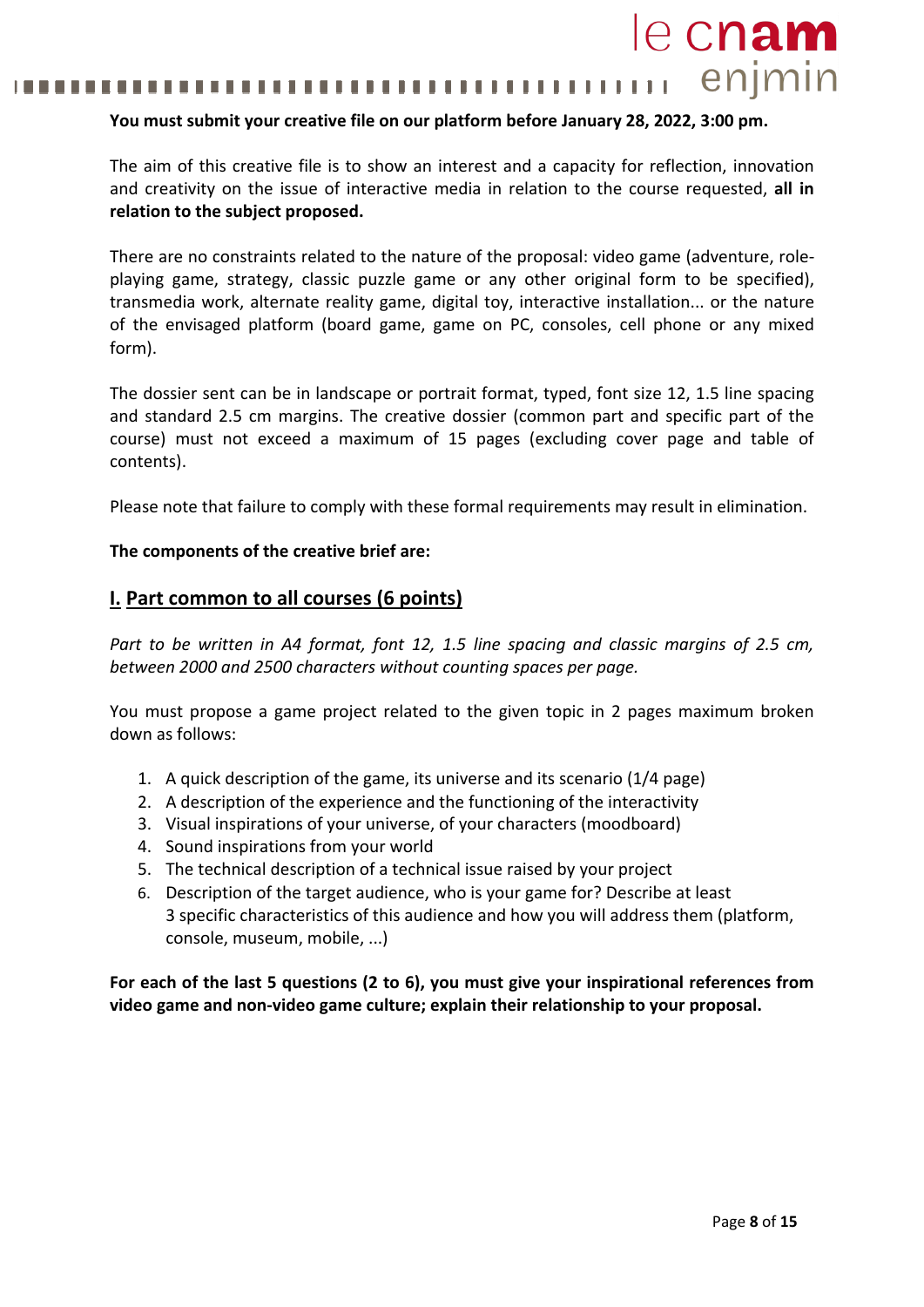#### enjmin 111111 ,,,,,,,,,,,,,

### **You must submit your creative file on our platform before January 28, 2022, 3:00 pm.**

The aim of this creative file is to show an interest and a capacity for reflection, innovation and creativity on the issue of interactive media in relation to the course requested, **all in relation to the subject proposed.**

There are no constraints related to the nature of the proposal: video game (adventure, roleplaying game, strategy, classic puzzle game or any other original form to be specified), transmedia work, alternate reality game, digital toy, interactive installation... or the nature of the envisaged platform (board game, game on PC, consoles, cell phone or any mixed form).

The dossier sent can be in landscape or portrait format, typed, font size 12, 1.5 line spacing and standard 2.5 cm margins. The creative dossier (common part and specific part of the course) must not exceed a maximum of 15 pages (excluding cover page and table of contents).

Please note that failure to comply with these formal requirements may result in elimination.

#### **The components of the creative brief are:**

### **I. Part common to all courses (6 points)**

Part to be written in A4 format, font 12, 1.5 line spacing and classic margins of 2.5 cm, *between 2000 and 2500 characters without counting spaces per page.*

You must propose a game project related to the given topic in 2 pages maximum broken down as follows:

- 1. A quick description of the game, its universe and its scenario (1/4 page)
- 2. A description of the experience and the functioning of the interactivity
- 3. Visual inspirations of your universe, of your characters (moodboard)
- 4. Sound inspirations from your world
- 5. The technical description of a technical issue raised by your project
- 6. Description of the target audience, who is your game for? Describe at least 3 specific characteristics of this audience and how you will address them (platform, console, museum, mobile, ...)

**For each of the last 5 questions (2 to 6), you must give your inspirational references from video game and non-video game culture; explain their relationship to your proposal.**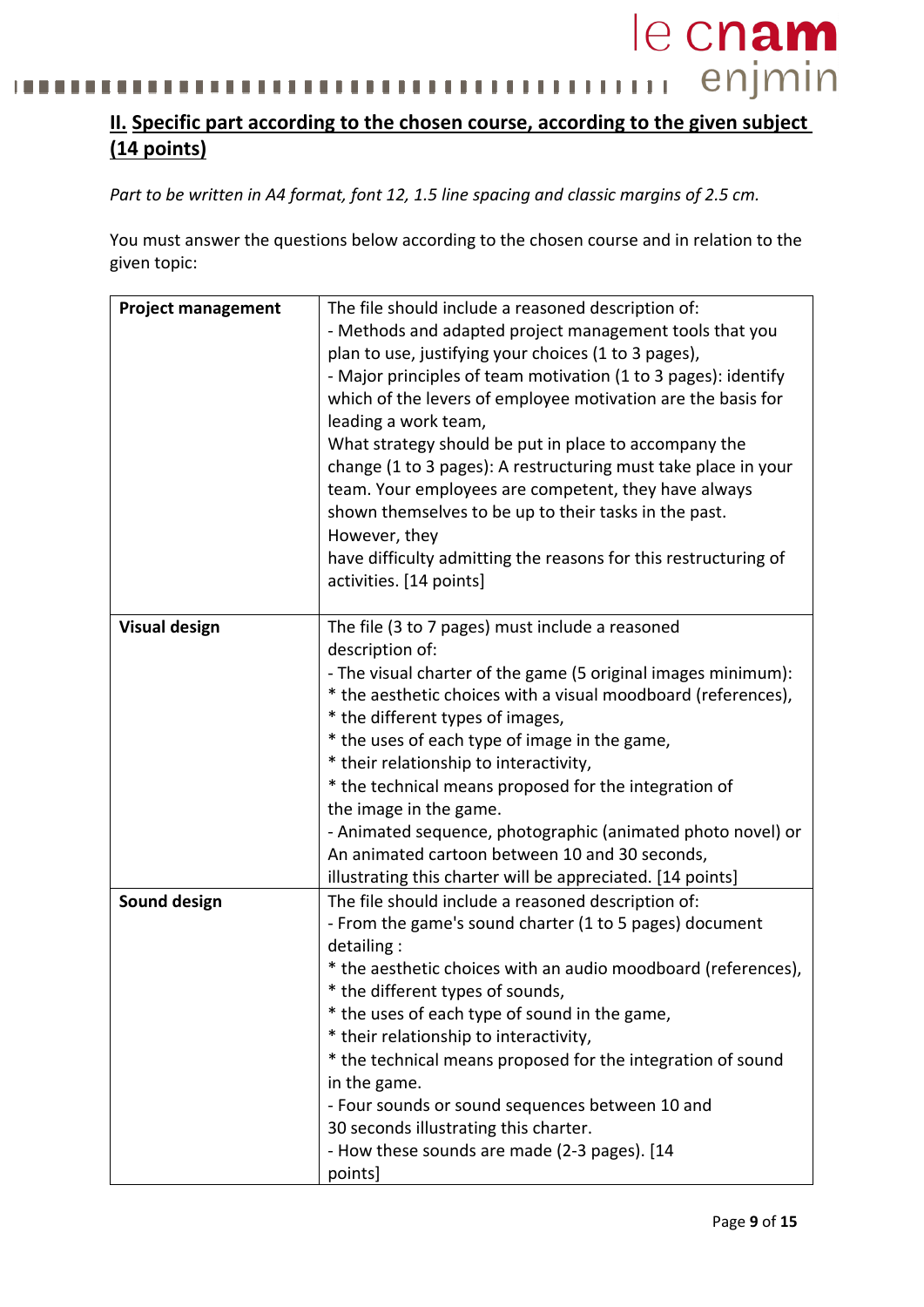#### enjmin i.  $11111111111$ <u>. . . . .</u> T I . . . . 1 I I I п n m п п л

# **II. Specific part according to the chosen course, according to the given subject (14 points)**

*Part to be written in A4 format, font 12, 1.5 line spacing and classic margins of 2.5 cm.*

You must answer the questions below according to the chosen course and in relation to the given topic:

| <b>Project management</b> | The file should include a reasoned description of:                                                                     |  |
|---------------------------|------------------------------------------------------------------------------------------------------------------------|--|
|                           | - Methods and adapted project management tools that you                                                                |  |
|                           | plan to use, justifying your choices (1 to 3 pages),                                                                   |  |
|                           | - Major principles of team motivation (1 to 3 pages): identify                                                         |  |
|                           | which of the levers of employee motivation are the basis for                                                           |  |
|                           | leading a work team,                                                                                                   |  |
|                           | What strategy should be put in place to accompany the                                                                  |  |
|                           |                                                                                                                        |  |
|                           | change (1 to 3 pages): A restructuring must take place in your<br>team. Your employees are competent, they have always |  |
|                           |                                                                                                                        |  |
|                           | shown themselves to be up to their tasks in the past.                                                                  |  |
|                           | However, they                                                                                                          |  |
|                           | have difficulty admitting the reasons for this restructuring of                                                        |  |
|                           | activities. [14 points]                                                                                                |  |
|                           |                                                                                                                        |  |
| <b>Visual design</b>      | The file (3 to 7 pages) must include a reasoned                                                                        |  |
|                           | description of:                                                                                                        |  |
|                           | - The visual charter of the game (5 original images minimum):                                                          |  |
|                           | * the aesthetic choices with a visual moodboard (references),                                                          |  |
|                           | * the different types of images,                                                                                       |  |
|                           | * the uses of each type of image in the game,                                                                          |  |
|                           | * their relationship to interactivity,                                                                                 |  |
|                           | * the technical means proposed for the integration of                                                                  |  |
|                           | the image in the game.                                                                                                 |  |
|                           | - Animated sequence, photographic (animated photo novel) or                                                            |  |
|                           | An animated cartoon between 10 and 30 seconds,                                                                         |  |
|                           | illustrating this charter will be appreciated. [14 points]                                                             |  |
| Sound design              | The file should include a reasoned description of:                                                                     |  |
|                           | - From the game's sound charter (1 to 5 pages) document                                                                |  |
|                           | detailing:                                                                                                             |  |
|                           | * the aesthetic choices with an audio moodboard (references),                                                          |  |
|                           | * the different types of sounds,                                                                                       |  |
|                           | * the uses of each type of sound in the game,                                                                          |  |
|                           | * their relationship to interactivity,                                                                                 |  |
|                           | * the technical means proposed for the integration of sound                                                            |  |
|                           | in the game.                                                                                                           |  |
|                           | - Four sounds or sound sequences between 10 and                                                                        |  |
|                           | 30 seconds illustrating this charter.                                                                                  |  |
|                           | - How these sounds are made (2-3 pages). [14                                                                           |  |
|                           | points]                                                                                                                |  |
|                           |                                                                                                                        |  |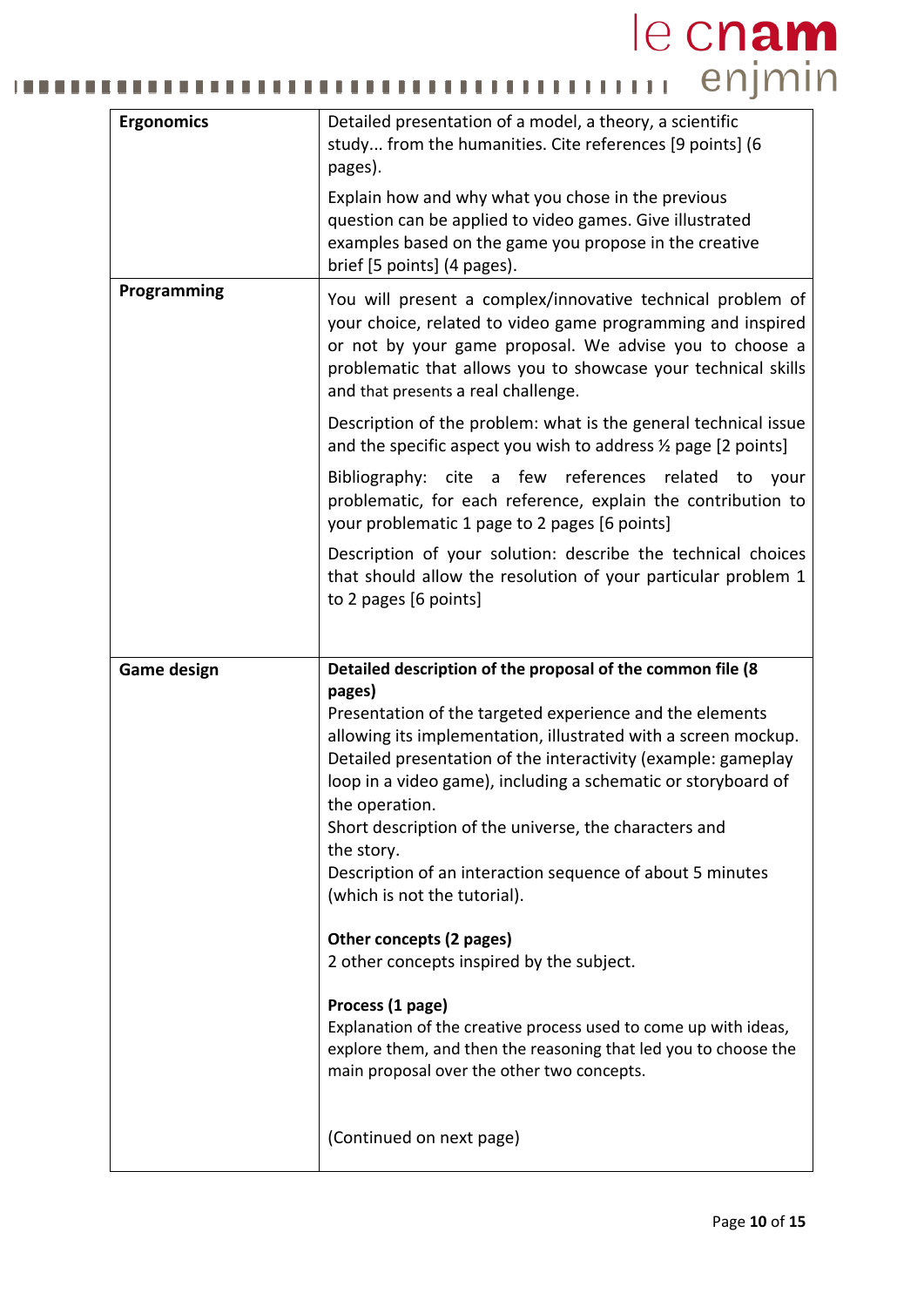# le cnam ......... H

| <b>Ergonomics</b>  | Detailed presentation of a model, a theory, a scientific<br>study from the humanities. Cite references [9 points] (6<br>pages).                                                                                                                                                                                                                                                                                                                              |  |
|--------------------|--------------------------------------------------------------------------------------------------------------------------------------------------------------------------------------------------------------------------------------------------------------------------------------------------------------------------------------------------------------------------------------------------------------------------------------------------------------|--|
|                    | Explain how and why what you chose in the previous<br>question can be applied to video games. Give illustrated<br>examples based on the game you propose in the creative<br>brief [5 points] (4 pages).                                                                                                                                                                                                                                                      |  |
| Programming        | You will present a complex/innovative technical problem of<br>your choice, related to video game programming and inspired<br>or not by your game proposal. We advise you to choose a<br>problematic that allows you to showcase your technical skills<br>and that presents a real challenge.                                                                                                                                                                 |  |
|                    | Description of the problem: what is the general technical issue<br>and the specific aspect you wish to address % page [2 points]                                                                                                                                                                                                                                                                                                                             |  |
|                    | references related<br>Bibliography: cite<br>a few<br>to<br>your<br>problematic, for each reference, explain the contribution to<br>your problematic 1 page to 2 pages [6 points]                                                                                                                                                                                                                                                                             |  |
|                    | Description of your solution: describe the technical choices<br>that should allow the resolution of your particular problem 1<br>to 2 pages [6 points]                                                                                                                                                                                                                                                                                                       |  |
|                    |                                                                                                                                                                                                                                                                                                                                                                                                                                                              |  |
|                    | Detailed description of the proposal of the common file (8                                                                                                                                                                                                                                                                                                                                                                                                   |  |
| <b>Game design</b> | pages)<br>Presentation of the targeted experience and the elements<br>allowing its implementation, illustrated with a screen mockup.<br>Detailed presentation of the interactivity (example: gameplay<br>loop in a video game), including a schematic or storyboard of<br>the operation.<br>Short description of the universe, the characters and<br>the story.<br>Description of an interaction sequence of about 5 minutes<br>(which is not the tutorial). |  |
|                    | Other concepts (2 pages)                                                                                                                                                                                                                                                                                                                                                                                                                                     |  |
|                    | 2 other concepts inspired by the subject.<br>Process (1 page)<br>Explanation of the creative process used to come up with ideas,<br>explore them, and then the reasoning that led you to choose the<br>main proposal over the other two concepts.                                                                                                                                                                                                            |  |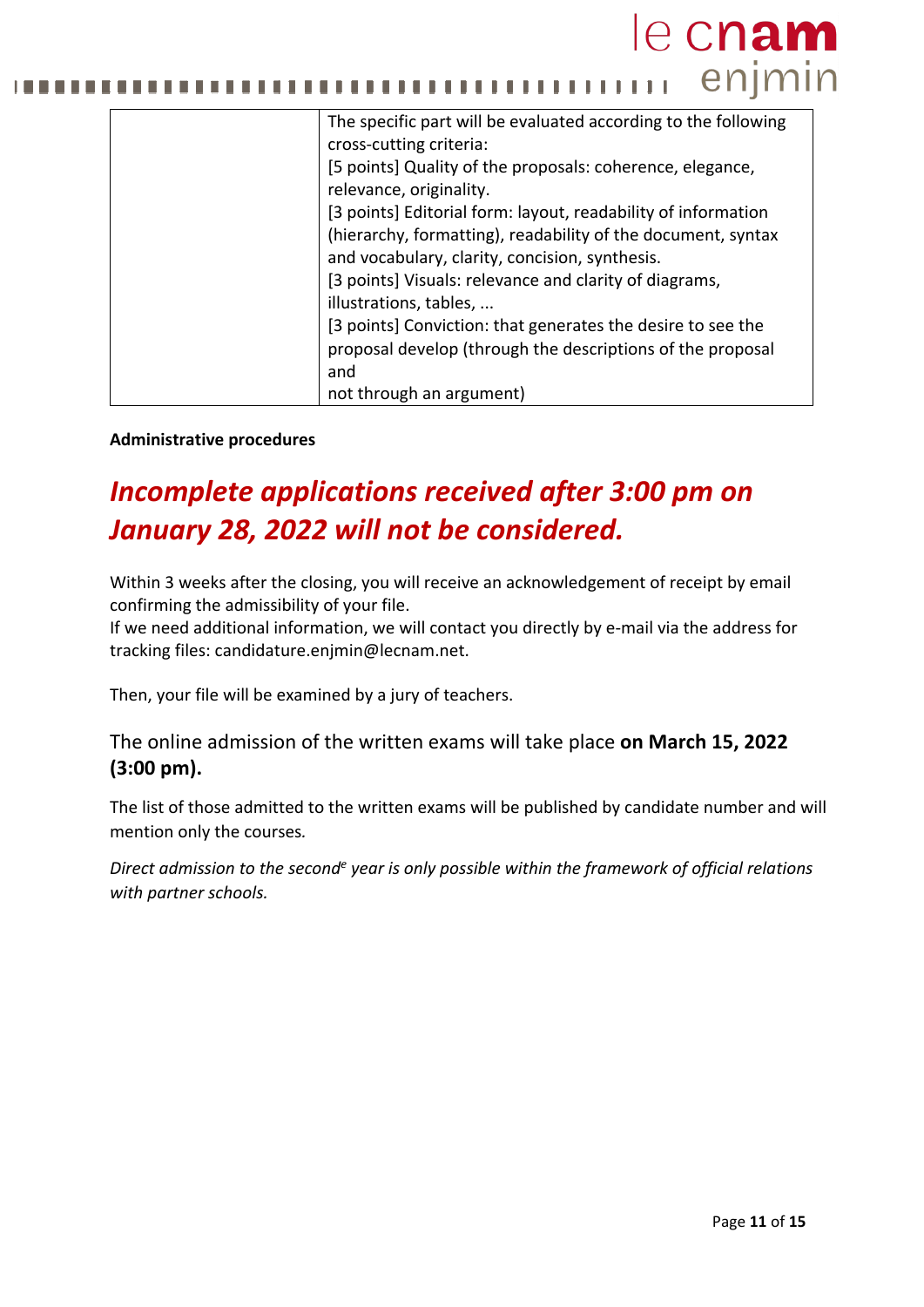# le cnam enjmin  $1 + 1 + 1$ n n

| The specific part will be evaluated according to the following |
|----------------------------------------------------------------|
| cross-cutting criteria:                                        |
| [5 points] Quality of the proposals: coherence, elegance,      |
| relevance, originality.                                        |
| [3 points] Editorial form: layout, readability of information  |
| (hierarchy, formatting), readability of the document, syntax   |
| and vocabulary, clarity, concision, synthesis.                 |
| [3 points] Visuals: relevance and clarity of diagrams,         |
| illustrations, tables,                                         |
| [3 points] Conviction: that generates the desire to see the    |
| proposal develop (through the descriptions of the proposal     |
| and                                                            |
| not through an argument)                                       |

### **Administrative procedures**

# *Incomplete applications received after 3:00 pm on January 28, 2022 will not be considered.*

Within 3 weeks after the closing, you will receive an acknowledgement of receipt by email confirming the admissibility of your file.

If we need additional information, we will contact you directly by e-mail via the address for tracking files: [candidature.enjmin@lecnam.net.](mailto:candidature.enjmin@lecnam.net)

Then, your file will be examined by a jury of teachers.

## The online admission of the written exams will take place **on March 15, 2022 (3:00 pm).**

The list of those admitted to the written exams will be published by candidate number and will mention only the courses*.* 

*Direct admission to the seconde year is only possible within the framework of official relations with partner schools.*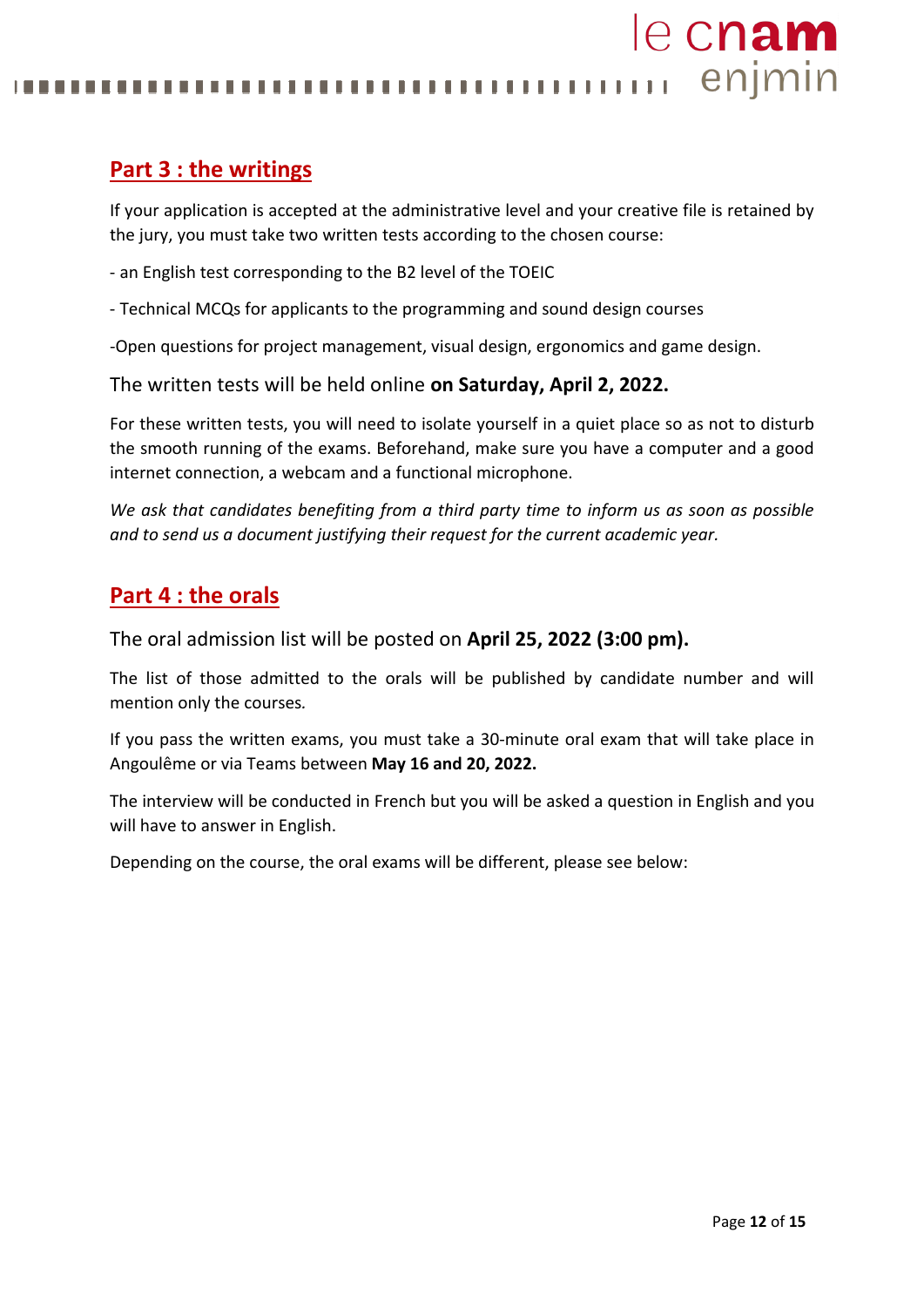enjmin . . . . . .

# **Part 3 : the writings**

If your application is accepted at the administrative level and your creative file is retained by the jury, you must take two written tests according to the chosen course:

- an English test corresponding to the B2 level of the TOEIC
- Technical MCQs for applicants to the programming and sound design courses

-Open questions for project management, visual design, ergonomics and game design.

The written tests will be held online **on Saturday, April 2, 2022.**

For these written tests, you will need to isolate yourself in a quiet place so as not to disturb the smooth running of the exams. Beforehand, make sure you have a computer and a good internet connection, a webcam and a functional microphone.

*We ask that candidates benefiting from a third party time to inform us as soon as possible and to send us a document justifying their request for the current academic year.*

## **Part 4 : the orals**

The oral admission list will be posted on **April 25, 2022 (3:00 pm).**

The list of those admitted to the orals will be published by candidate number and will mention only the courses*.* 

If you pass the written exams, you must take a 30-minute oral exam that will take place in Angoulême or via Teams between **May 16 and 20, 2022.**

The interview will be conducted in French but you will be asked a question in English and you will have to answer in English.

Depending on the course, the oral exams will be different, please see below: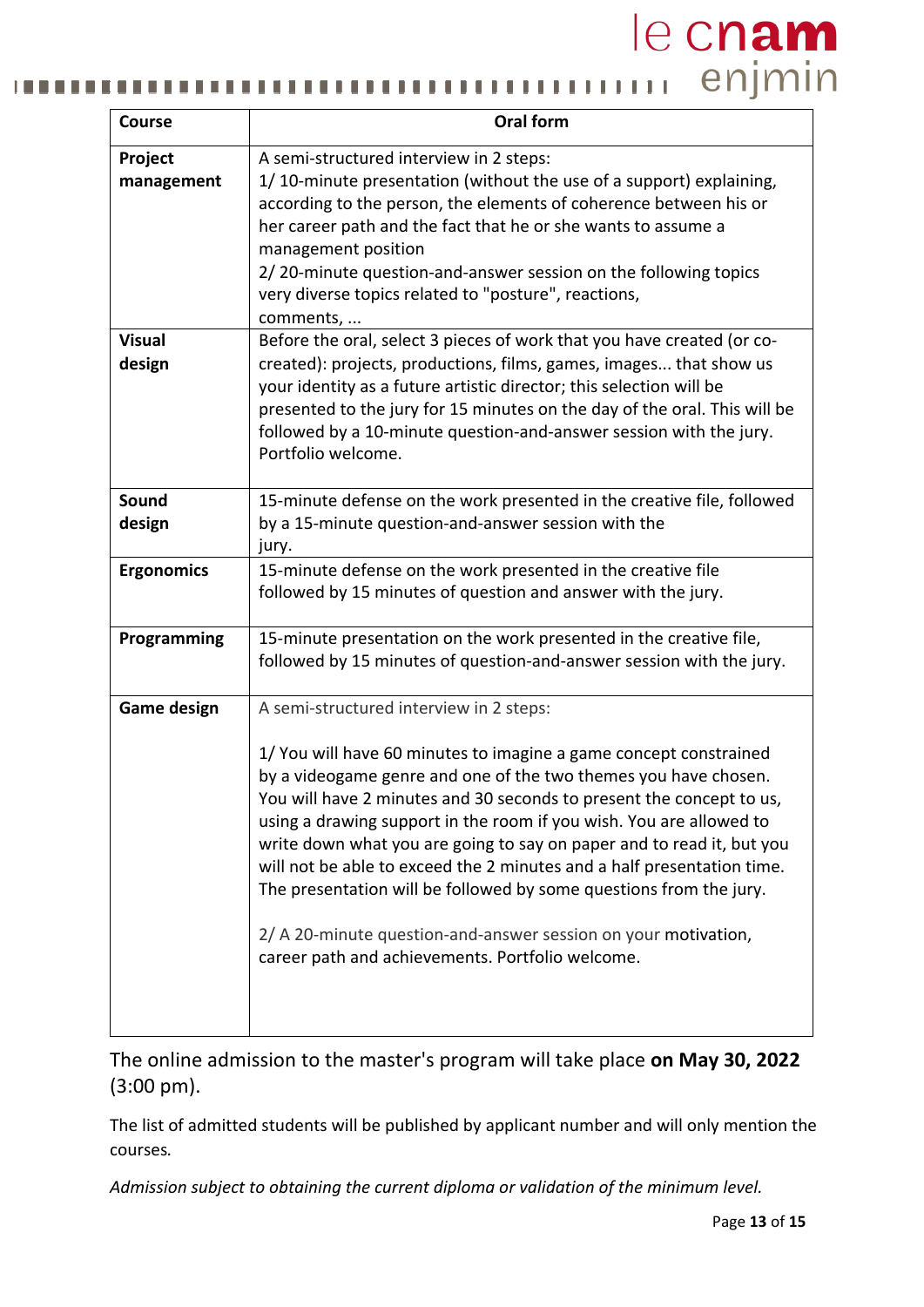#### le cnam III enjmin п п ш п . . . . n n п

| <b>Course</b>           | <b>Oral form</b>                                                                                                                                                                                                                                                                                                                                                                                                                                                                                                                                                                                                                                                              |  |
|-------------------------|-------------------------------------------------------------------------------------------------------------------------------------------------------------------------------------------------------------------------------------------------------------------------------------------------------------------------------------------------------------------------------------------------------------------------------------------------------------------------------------------------------------------------------------------------------------------------------------------------------------------------------------------------------------------------------|--|
| Project<br>management   | A semi-structured interview in 2 steps:<br>1/10-minute presentation (without the use of a support) explaining,<br>according to the person, the elements of coherence between his or<br>her career path and the fact that he or she wants to assume a<br>management position<br>2/20-minute question-and-answer session on the following topics<br>very diverse topics related to "posture", reactions,<br>comments,                                                                                                                                                                                                                                                           |  |
| <b>Visual</b><br>design | Before the oral, select 3 pieces of work that you have created (or co-<br>created): projects, productions, films, games, images that show us<br>your identity as a future artistic director; this selection will be<br>presented to the jury for 15 minutes on the day of the oral. This will be<br>followed by a 10-minute question-and-answer session with the jury.<br>Portfolio welcome.                                                                                                                                                                                                                                                                                  |  |
| <b>Sound</b><br>design  | 15-minute defense on the work presented in the creative file, followed<br>by a 15-minute question-and-answer session with the<br>jury.                                                                                                                                                                                                                                                                                                                                                                                                                                                                                                                                        |  |
| <b>Ergonomics</b>       | 15-minute defense on the work presented in the creative file<br>followed by 15 minutes of question and answer with the jury.                                                                                                                                                                                                                                                                                                                                                                                                                                                                                                                                                  |  |
| Programming             | 15-minute presentation on the work presented in the creative file,<br>followed by 15 minutes of question-and-answer session with the jury.                                                                                                                                                                                                                                                                                                                                                                                                                                                                                                                                    |  |
| <b>Game design</b>      | A semi-structured interview in 2 steps:<br>1/ You will have 60 minutes to imagine a game concept constrained<br>by a videogame genre and one of the two themes you have chosen.<br>You will have 2 minutes and 30 seconds to present the concept to us,<br>using a drawing support in the room if you wish. You are allowed to<br>write down what you are going to say on paper and to read it, but you<br>will not be able to exceed the 2 minutes and a half presentation time.<br>The presentation will be followed by some questions from the jury.<br>2/ A 20-minute question-and-answer session on your motivation,<br>career path and achievements. Portfolio welcome. |  |

The online admission to the master's program will take place **on May 30, 2022**  (3:00 pm).

The list of admitted students will be published by applicant number and will only mention the courses*.* 

*Admission subject to obtaining the current diploma or validation of the minimum level.*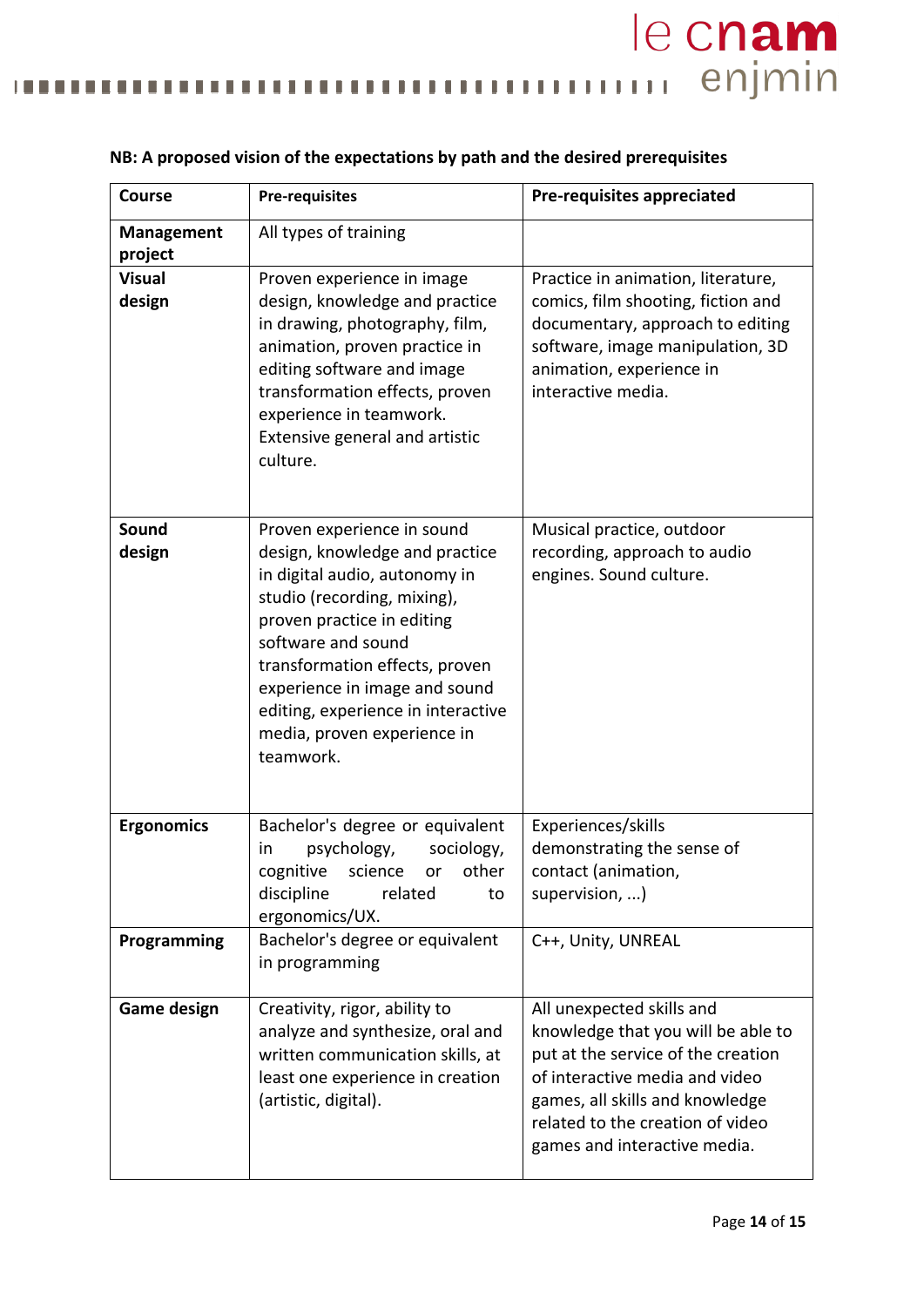mummmmm enjmin . . . . . п П  $\blacksquare$ .,

| <b>Course</b>                | <b>Pre-requisites</b>                                                                                                                                                                                                                                                                                                                 | Pre-requisites appreciated                                                                                                                                                                                                                     |
|------------------------------|---------------------------------------------------------------------------------------------------------------------------------------------------------------------------------------------------------------------------------------------------------------------------------------------------------------------------------------|------------------------------------------------------------------------------------------------------------------------------------------------------------------------------------------------------------------------------------------------|
| <b>Management</b><br>project | All types of training                                                                                                                                                                                                                                                                                                                 |                                                                                                                                                                                                                                                |
| <b>Visual</b><br>design      | Proven experience in image<br>design, knowledge and practice<br>in drawing, photography, film,<br>animation, proven practice in<br>editing software and image<br>transformation effects, proven<br>experience in teamwork.<br>Extensive general and artistic<br>culture.                                                              | Practice in animation, literature,<br>comics, film shooting, fiction and<br>documentary, approach to editing<br>software, image manipulation, 3D<br>animation, experience in<br>interactive media.                                             |
| Sound<br>design              | Proven experience in sound<br>design, knowledge and practice<br>in digital audio, autonomy in<br>studio (recording, mixing),<br>proven practice in editing<br>software and sound<br>transformation effects, proven<br>experience in image and sound<br>editing, experience in interactive<br>media, proven experience in<br>teamwork. | Musical practice, outdoor<br>recording, approach to audio<br>engines. Sound culture.                                                                                                                                                           |
| <b>Ergonomics</b>            | Bachelor's degree or equivalent<br>psychology,<br>sociology,<br>in<br>cognitive science or other<br>discipline<br>related<br>to<br>ergonomics/UX.                                                                                                                                                                                     | Experiences/skills<br>demonstrating the sense of<br>contact (animation,<br>supervision, )                                                                                                                                                      |
| Programming                  | Bachelor's degree or equivalent<br>in programming                                                                                                                                                                                                                                                                                     | C++, Unity, UNREAL                                                                                                                                                                                                                             |
| <b>Game design</b>           | Creativity, rigor, ability to<br>analyze and synthesize, oral and<br>written communication skills, at<br>least one experience in creation<br>(artistic, digital).                                                                                                                                                                     | All unexpected skills and<br>knowledge that you will be able to<br>put at the service of the creation<br>of interactive media and video<br>games, all skills and knowledge<br>related to the creation of video<br>games and interactive media. |

### **NB: A proposed vision of the expectations by path and the desired prerequisites**